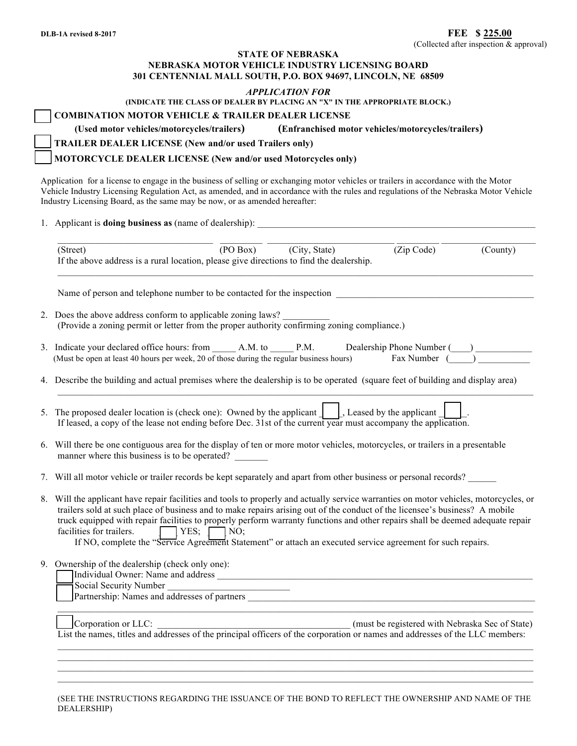## **STATE OF NEBRASKA NEBRASKA MOTOR VEHICLE INDUSTRY LICENSING BOARD 301 CENTENNIAL MALL SOUTH, P.O. BOX 94697, LINCOLN, NE 68509**

**(INDICATE THE CLASS OF DEALER BY PLACING AN "X" IN THE APPROPRIATE BLOCK.)**

| <b>COMBINATION MOTOR VEHICLE &amp; TRAILER DEALER LICENSE</b> |  |  |
|---------------------------------------------------------------|--|--|
|                                                               |  |  |

**(Used motor vehicles/motorcycles/trailers) (Enfranchised motor vehicles/motorcycles/trailers)**

**□ TRAILER DEALER LICENSE (New and/or used Trailers only)** 

**□ MOTORCYCLE DEALER LICENSE (New and/or used Motorcycles only)**

Application for a license to engage in the business of selling or exchanging motor vehicles or trailers in accordance with the Motor Vehicle Industry Licensing Regulation Act, as amended, and in accordance with the rules and regulations of the Nebraska Motor Vehicle Industry Licensing Board, as the same may be now, or as amended hereafter:

1. Applicant is **doing business as** (name of dealership):

| (PO Box) (City, State)<br>(Zip Code)<br>(County)<br>(Street)<br>If the above address is a rural location, please give directions to find the dealership.                                                                                                                                                                                                                                                                                                                                                                                                                    |  |  |  |  |  |  |
|-----------------------------------------------------------------------------------------------------------------------------------------------------------------------------------------------------------------------------------------------------------------------------------------------------------------------------------------------------------------------------------------------------------------------------------------------------------------------------------------------------------------------------------------------------------------------------|--|--|--|--|--|--|
| Name of person and telephone number to be contacted for the inspection                                                                                                                                                                                                                                                                                                                                                                                                                                                                                                      |  |  |  |  |  |  |
| 2. Does the above address conform to applicable zoning laws?<br>(Provide a zoning permit or letter from the proper authority confirming zoning compliance.)                                                                                                                                                                                                                                                                                                                                                                                                                 |  |  |  |  |  |  |
| 3. Indicate your declared office hours: from _______ A.M. to _______ P.M. Dealership Phone Number (____) ______<br>(Must be open at least 40 hours per week, 20 of those during the regular business hours) Fax Number $\begin{pmatrix} 0 & 0 \\ 0 & 0 \end{pmatrix}$                                                                                                                                                                                                                                                                                                       |  |  |  |  |  |  |
| 4. Describe the building and actual premises where the dealership is to be operated (square feet of building and display area)                                                                                                                                                                                                                                                                                                                                                                                                                                              |  |  |  |  |  |  |
| 5. The proposed dealer location is (check one): Owned by the applicant $\ \cdot\ $ , Leased by the applicant<br>If leased, a copy of the lease not ending before Dec. 31st of the current year must accompany the application.                                                                                                                                                                                                                                                                                                                                              |  |  |  |  |  |  |
| 6. Will there be one contiguous area for the display of ten or more motor vehicles, motorcycles, or trailers in a presentable<br>manner where this business is to be operated?                                                                                                                                                                                                                                                                                                                                                                                              |  |  |  |  |  |  |
| 7. Will all motor vehicle or trailer records be kept separately and apart from other business or personal records?                                                                                                                                                                                                                                                                                                                                                                                                                                                          |  |  |  |  |  |  |
| 8. Will the applicant have repair facilities and tools to properly and actually service warranties on motor vehicles, motorcycles, or<br>trailers sold at such place of business and to make repairs arising out of the conduct of the licensee's business? A mobile<br>truck equipped with repair facilities to properly perform warranty functions and other repairs shall be deemed adequate repair<br>facilities for trailers.<br>$\Box$ YES; $\Box$ NO;<br>If NO, complete the "Service Agreement Statement" or attach an executed service agreement for such repairs. |  |  |  |  |  |  |
| 9. Ownership of the dealership (check only one):<br>Social Security Number<br><u> 1989 - Johann Barn, mars and de Branch Barn, mars and de Branch Barn, mars and de Branch Barn, mars and de Br</u><br>Partnership: Names and addresses of partners                                                                                                                                                                                                                                                                                                                         |  |  |  |  |  |  |
| Corporation or LLC: Corporation or LLC: (must be registered with Nebraska Sec of State)<br>List the names, titles and addresses of the principal officers of the corporation or names and addresses of the LLC members:                                                                                                                                                                                                                                                                                                                                                     |  |  |  |  |  |  |
|                                                                                                                                                                                                                                                                                                                                                                                                                                                                                                                                                                             |  |  |  |  |  |  |

(SEE THE INSTRUCTIONS REGARDING THE ISSUANCE OF THE BOND TO REFLECT THE OWNERSHIP AND NAME OF THE DEALERSHIP)